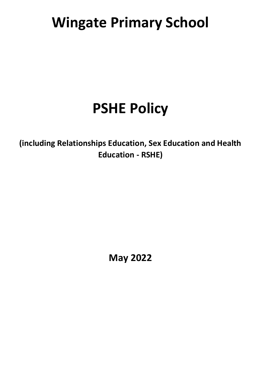# **Wingate Primary School**

# **PSHE Policy**

**(including Relationships Education, Sex Education and Health Education - RSHE)**

**May 2022**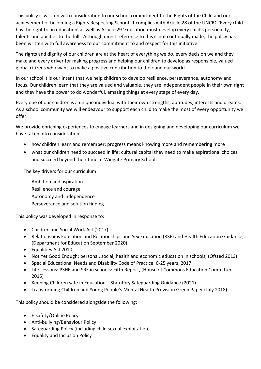This policy is written with consideration to our school commitment to the Rights of the Child and our achievement of becoming a Rights Respecting School. It complies with Article 28 of the UNCRC 'Every child has the right to an education' as well as Article 29 'Education must develop every child's personality, talents and abilities to the full'. Although direct reference to this is not continually made, the policy has been written with full awareness to our commitment to and respect for this initiative.

The rights and dignity of our children are at the heart of everything we do, every decision we and they make and every driver for making progress and helping our children to develop as responsible, valued global citizens who want to make a positive contribution to their and our world.

In our school it is our intent that we help children to develop resilience, perseverance, autonomy and focus. Our children learn that they are valued and valuable, they are independent people in their own right and they have the power to do wonderful, amazing things at every stage of every day.

Every one of our children is a unique individual with their own strengths, aptitudes, interests and dreams. As a school community we will endeavour to support each child to make the most of every opportunity we offer.

We provide enriching experiences to engage learners and in designing and developing our curriculum we have taken into consideration

- how children learn and remember; progress means knowing more and remembering more
- what our children need to succeed in life; cultural capital they need to make aspirational choices and succeed beyond their time at Wingate Primary School.

The key drivers for our curriculum

Ambition and aspiration Resilience and courage Autonomy and independence Perseverance and solution finding

This policy was developed in response to:

- Children and Social Work Act (2017)
- Relationships Education and Relationships and Sex Education (RSE) and Health Education Guidance, (Department for Education September 2020)
- Equalities Act 2010
- Not Yet Good Enough: personal, social, health and economic education in schools, (Ofsted 2013)
- Special Educational Needs and Disability Code of Practice: 0-25 years, 2017
- Life Lessons: PSHE and SRE in schools: Fifth Report, (House of Commons Education Committee 2015)
- Keeping Children safe in Education Statutory Safeguarding Guidance (2021)
- Transforming Children and Young People's Mental Health Provision Green Paper (July 2018)

This policy should be considered alongside the following:

- E-safety/Online Policy
- Anti-bullying/Behaviour Policy
- Safeguarding Policy (including child sexual exploitation)
- Equality and Inclusion Policy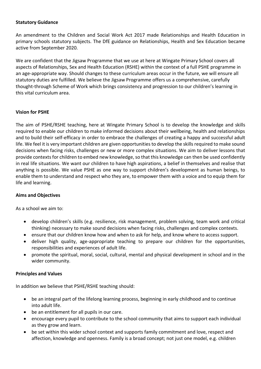#### **Statutory Guidance**

An amendment to the Children and Social Work Act 2017 made Relationships and Health Education in primary schools statutory subjects. The DfE guidance on Relationships, Health and Sex Education became active from September 2020.

We are confident that the Jigsaw Programme that we use at here at Wingate Primary School covers all aspects of Relationships, Sex and Health Education (RSHE) within the context of a full PSHE programme in an age-appropriate way. Should changes to these curriculum areas occur in the future, we will ensure all statutory duties are fulfilled. We believe the Jigsaw Programme offers us a comprehensive, carefully thought-through Scheme of Work which brings consistency and progression to our children's learning in this vital curriculum area.

#### **Vision for PSHE**

The aim of PSHE/RSHE teaching, here at Wingate Primary School is to develop the knowledge and skills required to enable our children to make informed decisions about their wellbeing, health and relationships and to build their self-efficacy in order to embrace the challenges of creating a happy and successful adult life. We feel it is very important children are given opportunities to develop the skills required to make sound decisions when facing risks, challenges or new or more complex situations. We aim to deliver lessons that provide contexts for children to embed new knowledge, so that this knowledge can then be used confidently in real life situations. We want our children to have high aspirations, a belief in themselves and realise that anything is possible. We value PSHE as one way to support children's development as human beings, to enable them to understand and respect who they are, to empower them with a voice and to equip them for life and learning.

#### **Aims and Objectives**

As a school we aim to:

- develop children's skills (e.g. resilience, risk management, problem solving, team work and critical thinking) necessary to make sound decisions when facing risks, challenges and complex contexts.
- ensure that our children know how and when to ask for help, and know where to access support.
- deliver high quality, age-appropriate teaching to prepare our children for the opportunities, responsibilities and experiences of adult life.
- promote the spiritual, moral, social, cultural, mental and physical development in school and in the wider community.

#### **Principles and Values**

In addition we believe that PSHE/RSHE teaching should:

- be an integral part of the lifelong learning process, beginning in early childhood and to continue into adult life.
- be an entitlement for all pupils in our care.
- encourage every pupil to contribute to the school community that aims to support each individual as they grow and learn.
- be set within this wider school context and supports family commitment and love, respect and affection, knowledge and openness. Family is a broad concept; not just one model, e.g. children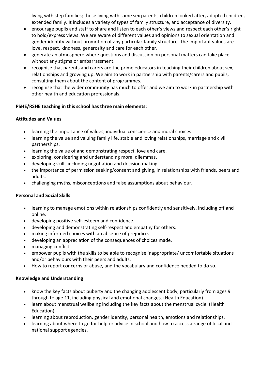living with step families; those living with same sex parents, children looked after, adopted children, extended family. It includes a variety of types of family structure, and acceptance of diversity.

- encourage pupils and staff to share and listen to each other's views and respect each other's right to hold/express views. We are aware of different values and opinions to sexual orientation and gender identity without promotion of any particular family structure. The important values are love, respect, kindness, generosity and care for each other.
- generate an atmosphere where questions and discussion on personal matters can take place without any stigma or embarrassment.
- recognise that parents and carers are the prime educators in teaching their children about sex, relationships and growing up. We aim to work in partnership with parents/carers and pupils, consulting them about the content of programmes.
- recognise that the wider community has much to offer and we aim to work in partnership with other health and education professionals.

## **PSHE/RSHE teaching in this school has three main elements:**

#### **Attitudes and Values**

- learning the importance of values, individual conscience and moral choices.
- learning the value and valuing family life, stable and loving relationships, marriage and civil partnerships.
- learning the value of and demonstrating respect, love and care.
- exploring, considering and understanding moral dilemmas.
- developing skills including negotiation and decision making.
- the importance of permission seeking/consent and giving, in relationships with friends, peers and adults.
- challenging myths, misconceptions and false assumptions about behaviour.

#### **Personal and Social Skills**

- learning to manage emotions within relationships confidently and sensitively, including off and online.
- developing positive self-esteem and confidence.
- developing and demonstrating self-respect and empathy for others.
- making informed choices with an absence of prejudice.
- developing an appreciation of the consequences of choices made.
- managing conflict.
- empower pupils with the skills to be able to recognise inappropriate/ uncomfortable situations and/or behaviours with their peers and adults.
- How to report concerns or abuse, and the vocabulary and confidence needed to do so.

#### **Knowledge and Understanding**

- know the key facts about puberty and the changing adolescent body, particularly from ages 9 through to age 11, including physical and emotional changes. (Health Education)
- learn about menstrual wellbeing including the key facts about the menstrual cycle. (Health Education)
- learning about reproduction, gender identity, personal health, emotions and relationships.
- learning about where to go for help or advice in school and how to access a range of local and national support agencies.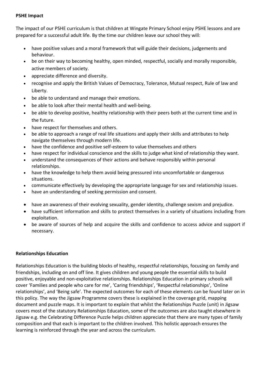#### **PSHE Impact**

The impact of our PSHE curriculum is that children at Wingate Primary School enjoy PSHE lessons and are prepared for a successful adult life. By the time our children leave our school they will:

- have positive values and a moral framework that will guide their decisions, judgements and behaviour.
- be on their way to becoming healthy, open minded, respectful, socially and morally responsible, active members of society.
- appreciate difference and diversity.
- recognise and apply the British Values of Democracy, Tolerance, Mutual respect, Rule of law and Liberty.
- be able to understand and manage their emotions.
- be able to look after their mental health and well-being.
- be able to develop positive, healthy relationship with their peers both at the current time and in the future.
- have respect for themselves and others.
- be able to approach a range of real life situations and apply their skills and attributes to help navigate themselves through modern life.
- have the confidence and positive self-esteem to value themselves and others
- have respect for individual conscience and the skills to judge what kind of relationship they want.
- understand the consequences of their actions and behave responsibly within personal relationships.
- have the knowledge to help them avoid being pressured into uncomfortable or dangerous situations.
- communicate effectively by developing the appropriate language for sex and relationship issues.
- have an understanding of seeking permission and consent.
- have an awareness of their evolving sexuality, gender identity, challenge sexism and prejudice.
- have sufficient information and skills to protect themselves in a variety of situations including from exploitation.
- be aware of sources of help and acquire the skills and confidence to access advice and support if necessary.

## **Relationships Education**

Relationships Education is the building blocks of healthy, respectful relationships, focusing on family and friendships, including on and off line. It gives children and young people the essential skills to build positive, enjoyable and non-exploitative relationships. Relationships Education in primary schools will cover 'Families and people who care for me', 'Caring friendships', 'Respectful relationships', 'Online relationships', and 'Being safe'. The expected outcomes for each of these elements can be found later on in this policy. The way the Jigsaw Programme covers these is explained in the coverage grid, mapping document and puzzle maps. It is important to explain that whilst the Relationships Puzzle (unit) in Jigsaw covers most of the statutory Relationships Education, some of the outcomes are also taught elsewhere in Jigsaw e.g. the Celebrating Difference Puzzle helps children appreciate that there are many types of family composition and that each is important to the children involved. This holistic approach ensures the learning is reinforced through the year and across the curriculum.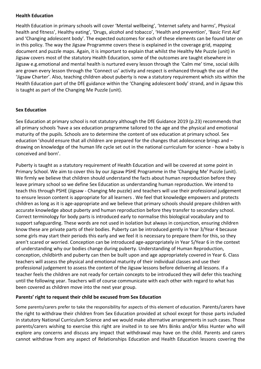#### **Health Education**

Health Education in primary schools will cover 'Mental wellbeing', 'Internet safety and harms', Physical health and fitness', Healthy eating', 'Drugs, alcohol and tobacco', 'Health and prevention', 'Basic First Aid' and 'Changing adolescent body'. The expected outcomes for each of these elements can be found later on in this policy. The way the Jigsaw Programme covers these is explained in the coverage grid, mapping document and puzzle maps. Again, it is important to explain that whilst the Healthy Me Puzzle (unit) in Jigsaw covers most of the statutory Health Education, some of the outcomes are taught elsewhere in Jigsaw e.g.emotional and mental health is nurtured every lesson through the 'Calm me' time, social skills are grown every lesson through the 'Connect us' activity and respect is enhanced through the use of the 'Jigsaw Charter'. Also, teaching children about puberty is now a statutory requirement which sits within the Health Education part of the DfE guidance within the 'Changing adolescent body' strand, and in Jigsaw this is taught as part of the Changing Me Puzzle (unit).

#### **Sex Education**

Sex Education at primary school is not statutory although the DfE Guidance 2019 (p.23) recommends that all primary schools 'have a sex education programme tailored to the age and the physical and emotional maturity of the pupils. Schools are to determine the content of sex education at primary school. Sex education 'should ensure that all children are prepared for the changes that adolescence brings and – drawing on knowledge of the human life cycle set out in the national curriculum for science - how a baby is conceived and born'.

Puberty is taught as a statutory requirement of Health Education and will be covered at some point in Primary School. We aim to cover this by our Jigsaw PSHE Programme in the 'Changing Me' Puzzle (unit). We firmly we believe that children should understand the facts about human reproduction before they leave primary school so we define Sex Education as understanding human reproduction. We intend to teach this through PSHE (Jigsaw - Changing Me puzzle) and teachers will use their professional judgement to ensure lesson content is appropriate for all learners . We feel that knowledge empowers and protects children as long as it is age-appropriate and we believe that primary schools should prepare children with accurate knowledge about puberty and human reproduction before they transfer to secondary school. Correct terminology for body parts is introduced early to normalise this biological vocabulary and to support safeguarding. These words are not used in isolation but always in conjunction, ensuring children know these are private parts of their bodies. Puberty can be introduced gently in Year 3/Year 4 because some girls may start their periods this early and we feel it is necessary to prepare them for this, so they aren't scared or worried. Conception can be introduced age-appropriately in Year 5/Year 6 in the context of understanding why our bodies change during puberty. Understanding of Human Reproduction, conception, childbirth and puberty can then be built upon and age appropriately covered in Year 6. Class teachers will assess the physical and emotional maturity of their individual classes and use their professional judgement to assess the content of the Jigsaw lessons before delivering all lessons. If a teacher feels the children are not ready for certain concepts to be introduced they will defer this teaching until the following year. Teachers will of course communicate with each other with regard to what has been covered as children move into the next year group.

#### **Parents' right to request their child be excused from Sex Education**

Some parents/carers prefer to take the responsibility for aspects of this element of education. Parents/carers have the right to withdraw their children from Sex Education provided at school except for those parts included in statutory National Curriculum Science and we would make alternative arrangements in such cases. Those parents/carers wishing to exercise this right are invited in to see Mrs Binks and/or Miss Hunter who will explore any concerns and discuss any impact that withdrawal may have on the child. Parents and carers cannot withdraw from any aspect of Relationships Education and Health Education lessons covering the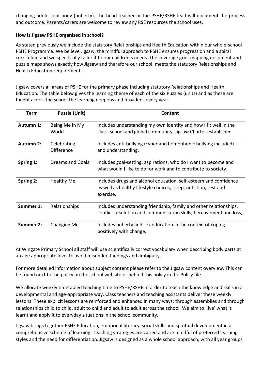changing adolescent body (puberty). The head teacher or the PSHE/RSHE lead will document the process and outcome. Parents/carers are welcome to review any RSE resources the school uses.

#### **How is Jigsaw PSHE organised in school?**

As stated previously we include the statutory Relationships and Health Education within our whole-school PSHE Programme. We believe Jigsaw, the mindful approach to PSHE ensures progression and a spiral curriculum and we specifically tailor it to our children's needs. The coverage grid, mapping document and puzzle maps shows exactly how Jigsaw and therefore our school, meets the statutory Relationships and Health Education requirements.

Jigsaw covers all areas of PSHE for the primary phase including statutory Relationships and Health Education. The table below gives the learning theme of each of the six Puzzles (units) and as these are taught across the school the learning deepens and broadens every year.

| <b>Term</b>      | <b>Puzzle (Unit)</b>             | Content                                                                                                                                           |
|------------------|----------------------------------|---------------------------------------------------------------------------------------------------------------------------------------------------|
| Autumn 1:        | Being Me in My<br>World          | Includes understanding my own identity and how I fit well in the<br>class, school and global community. Jigsaw Charter established.               |
| <b>Autumn 2:</b> | Celebrating<br><b>Difference</b> | Includes anti-bullying (cyber and homophobic bullying included)<br>and understanding.                                                             |
| Spring 1:        | Dreams and Goals                 | Includes goal-setting, aspirations, who do I want to become and<br>what would I like to do for work and to contribute to society.                 |
| Spring 2:        | <b>Healthy Me</b>                | Includes drugs and alcohol education, self-esteem and confidence<br>as well as healthy lifestyle choices, sleep, nutrition, rest and<br>exercise. |
| Summer 1:        | Relationships                    | Includes understanding friendship, family and other relationships,<br>conflict resolution and communication skills, bereavement and loss,         |
| <b>Summer 2:</b> | Changing Me                      | Includes puberty and sex education in the context of coping<br>positively with change.                                                            |

At Wingate Primary School all staff will use scientifically correct vocabulary when describing body parts at an age appropriate level to avoid misunderstandings and ambiguity.

For more detailed information about subject content please refer to the Jigsaw content overview. This can be found next to the policy on the school website or behind this policy in the Policy file.

We allocate weekly timetabled teaching time to PSHE/RSHE in order to teach the knowledge and skills in a developmental and age-appropriate way. Class teachers and teaching assistants deliver these weekly lessons. These explicit lessons are reinforced and enhanced in many ways: through assemblies and through relationships child to child, adult to child and adult to adult across the school. We aim to 'live' what is learnt and apply it to everyday situations in the school community.

Jigsaw brings together PSHE Education, emotional literacy, social skills and spiritual development in a comprehensive scheme of learning. Teaching strategies are varied and are mindful of preferred learning styles and the need for differentiation. Jigsaw is designed as a whole school approach, with all year groups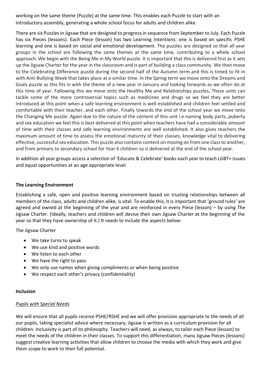working on the same theme (Puzzle) at the same time. This enables each Puzzle to start with an introductory assembly, generating a whole school focus for adults and children alike.

There are six Puzzles in Jigsaw that are designed to progress in sequence from September to July. Each Puzzle has six Pieces (lessons). Each Piece (lesson) has two Learning Intentions: one is based on specific PSHE learning and one is based on social and emotional development. The puzzles are designed so that all year groups in the school are following the same themes at the same time, contributing to a whole school approach. We begin with the Being Me in My World puzzle. It is important that thisis delivered first asit sets up the Jigsaw Charter for the year in the classroom and is part of building a class community. We then move to the Celebrating Difference puzzle during the second half of the Autumn term and this is timed to fit in with Anti-Bullying Week that takes place at a similar time. In the Spring term we move onto the Dreams and Goals puzzle as this fits in with the theme of a new year in January and looking forwards as we often do at this time of year. Following this we move onto the Healthy Me and Relationships puzzles**.** These units can tackle some of the more controversial topics such as medicines and drugs so we feel they are better introduced at this point when a safe learning environment is well established and children feel settled and comfortable with their teacher, and each other. Finally towards the end of the school year we move onto the Changing Me puzzle. Again due to the nature of the content of this unit i.e.naming body parts, puberty and sex education we feel this is best delivered at this point when teachers have had a considerable amount of time with their classes and safe learning environments are well established. It also gives teachers the maximum amount of time to assess the emotional maturity of their classes, knowledge vital to delivering effective, successful sex education. This puzzle also contains content on moving on from one class to another, and from primary to secondary school for Year 6 children so is delivered at the end of the school year.

In addition all year groups access a selection of 'Educate & Celebrate' books each year to teach LGBT+ issues and equal opportunities at an age appropriate level.

#### **The Learning Environment**

Establishing a safe, open and positive learning environment based on trusting relationships between all members of the class, adults and children alike, is vital. To enable this, it is important that 'ground rules' are agreed and owned at the beginning of the year and are reinforced in every Piece (lesson) – by using The Jigsaw Charter. (Ideally, teachers and children will devise their own Jigsaw Charter at the beginning of the year so that they have ownership of it.) It needs to include the aspects below:

The Jigsaw Charter

- We take turns to speak
- We use kind and positive words
- We listen to each other
- We have the right to pass
- We only use names when giving compliments or when being positive
- We respect each other's privacy (confidentiality)

#### **Inclusion**

#### *Pupils with Special Needs*

We will ensure that all pupils receive PSHE/RSHE and we will offer provision appropriate to the needs of all our pupils, taking specialist advice where necessary. Jigsaw is written as a curriculum provision for all children. Inclusivity is part of its philosophy. Teachers will need, as always, to tailor each Piece (lesson) to meet the needs of the children in their classes. To support this differentiation, many Jigsaw Pieces (lessons) suggest creative learning activities that allow children to choose the media with which they work and give them scope to work to their full potential.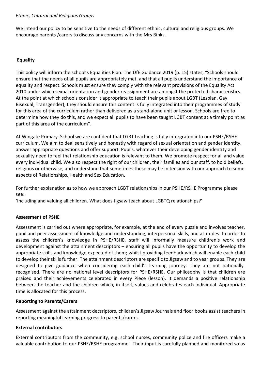#### *Ethnic, Cultural and Religious Groups*

We intend our policy to be sensitive to the needs of different ethnic, cultural and religious groups. We encourage parents /carers to discuss any concerns with the Mrs Binks.

#### **Equality**

This policy will inform the school's Equalities Plan. The DfE Guidance 2019 (p. 15) states, "Schools should ensure that the needs of all pupils are appropriately met, and that all pupils understand the importance of equality and respect. Schools must ensure they comply with the relevant provisions of the Equality Act 2010 under which sexual orientation and gender reassignment are amongst the protected characteristics. At the point at which schools consider it appropriate to teach their pupils about LGBT (Lesbian, Gay, Bisexual, Transgender), they should ensure this content is fully integrated into their programmes of study for this area of the curriculum rather than delivered as a stand-alone unit or lesson. Schools are free to determine how they do this, and we expect all pupils to have been taught LGBT content at a timely point as part of this area of the curriculum".

At Wingate Primary School we are confident that LGBT teaching is fully intergrated into our PSHE/RSHE curriculum. We aim to deal sensitively and honestly with regard of sexual orientation and gender identity, answer appropriate questions and offer support. Pupils, whatever their developing gender identity and sexuality need to feel that relationship education is relevant to them. We promote respect for all and value every individual child. We also respect the right of our children, their families and our staff, to hold beliefs, religious or otherwise, and understand that sometimes these may be in tension with our approach to some aspects of Relationships, Health and Sex Education.

For further explanation as to how we approach LGBT relationships in our PSHE/RSHE Programme please see:

'Including and valuing all children. What does Jigsaw teach about LGBTQ relationships?'

#### **Assessment of PSHE**

Assessment is carried out where appropriate, for example, at the end of every puzzle and involves teacher, pupil and peer assessment of knowledge and understanding, interpersonal skills, and attitudes. In order to assess the children's knowledge in PSHE/RSHE, staff will informally measure children's work and development against the attainment descriptors – ensuring all pupils have the opportunity to develop the appropriate skills and knowledge expected of them; whilst providing feedback which will enable each child to develop their skills further. The attainment descriptors are specific to Jigsaw and to year groups. They are designed to give guidance when considering each child's learning journey. They are not nationallyrecognised. There are no national level descriptors for PSHE/RSHE. Our philosophy is that children are praised and their achievements celebrated in every Piece (lesson). It demands a positive relationship between the teacher and the children which, in itself, values and celebrates each individual. Appropriate time is allocated for this process.

#### **Reporting to Parents/Carers**

Assessment against the attainment decsriptors, children's Jigsaw Journals and floor books assist teachers in reporting meaningful learning progress to parents/carers.

#### **External contributors**

External contributors from the community, e.g. school nurses, community police and fire officers make a valuable contribution to our PSHE/RSHE programme. Their input is carefully planned and monitored so as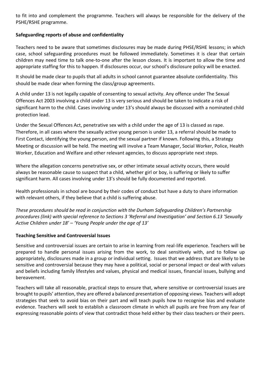to fit into and complement the programme. Teachers will always be responsible for the delivery of the PSHE/RSHE programme.

## **Safeguarding reports of abuse and confidentiality**

Teachers need to be aware that sometimes disclosures may be made during PHSE/RSHE lessons; in which case, school safeguarding procedures must be followed immediately. Sometimes it is clear that certain children may need time to talk one-to-one after the lesson closes. It is important to allow the time and appropriate staffing for this to happen. If disclosures occur, our school's disclosure policy will be enacted.

It should be made clear to pupils that all adults in school cannot guarantee absolute confidentiality. This should be made clear when forming the class/group agreements.

A child under 13 is not legally capable of consenting to sexual activity. Any offence under The Sexual Offences Act 2003 involving a child under 13 is very serious and should be taken to indicate a risk of significant harm to the child. Cases involving under 13's should always be discussed with a nominated child protection lead.

Under the Sexual Offences Act, penetrative sex with a child under the age of 13 is classed as rape. Therefore, in all cases where the sexually active young person is under 13, a referral should be made to First Contact, identifying the young person, and the sexual partner if known. Following this, a Strategy Meeting or discussion will be held. The meeting will involve a Team Manager, Social Worker, Police, Health Worker, Education and Welfare and other relevant agencies, to discuss appropriate next steps.

Where the allegation concerns penetrative sex, or other intimate sexual activity occurs, there would always be reasonable cause to suspect that a child, whether girl or boy, is suffering or likely to suffer significant harm. All cases involving under 13's should be fully documented and reported.

Health professionals in school are bound by their codes of conduct but have a duty to share information with relevant others, if they believe that a child is suffering abuse.

*These procedures should be read in conjunction with the Durham Safeguarding Children's Partnership procedures (link) with special reference to Sections 3 'Referral and Investigation' and Section 6.13 'Sexually Active Children under 18' – 'Young People under the age of 13'*

#### **Teaching Sensitive and Controversial Issues**

Sensitive and controversial issues are certain to arise in learning from real-life experience. Teachers will be prepared to handle personal issues arising from the work, to deal sensitively with, and to follow up appropriately, disclosures made in a group or individual setting. Issues that we address that are likely to be sensitive and controversial because they may have a political, social or personal impact or deal with values and beliefs including family lifestyles and values, physical and medical issues, financial issues, bullying and bereavement.

Teachers will take all reasonable, practical steps to ensure that, where sensitive or controversial issues are brought to pupils' attention, they are offered a balanced presentation of opposing views. Teachers will adopt strategies that seek to avoid bias on their part and will teach pupils how to recognise bias and evaluate evidence. Teachers will seek to establish a classroom climate in which all pupils are free from any fear of expressing reasonable points of view that contradict those held either by their class teachers or their peers.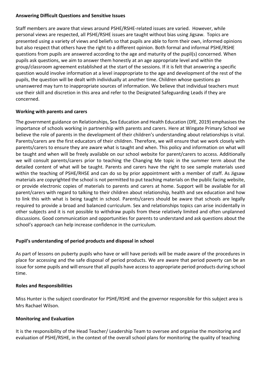#### **Answering Difficult Questions and Sensitive Issues**

Staff members are aware that views around PSHE/RSHE-related issues are varied. However, while personal views are respected, all PSHE/RSHE issues are taught without bias using Jigsaw. Topics are presented using a variety of views and beliefs so that pupils are able to form their own, informed opinions but also respect that others have the right to a different opinion. Both formal and informal PSHE/RSHE questions from pupils are answered according to the age and maturity of the pupil(s) concerned. When pupils ask questions, we aim to answer them honestly at an age appropriate level and within the group/classroom agreement established at the start of the sessions. If it is felt that answering a specific question would involve information at a level inappropriate to the age and development of the rest of the pupils, the question will be dealt with individually at another time. Children whose questions go unanswered may turn to inappropriate sources of information. We believe that individual teachers must use their skill and discretion in this area and refer to the Designated Safeguarding Leads if they are concerned.

## **Working with parents and carers**

The government guidance on Relationships, Sex Education and Health Education (DfE, 2019) emphasises the importance of schools working in partnership with parents and carers. Here at Wingate Primary School we believe the role of parents in the development of their children's understanding about relationships is vital. Parents/carers are the first educators of their children. Therefore, we will ensure that we work closely with parents/carers to ensure they are aware what is taught and when. This policy and information on what will be taught and when will be freely available on our school website for parent/carers to access. Additionally we will consult parents/carers prior to teaching the Changing Me topic in the summer term about the detailed content of what will be taught. Parents and carers have the right to see sample materials used within the teaching of PSHE/RHSE and can do so by prior appointment with a member of staff. As Jigsaw materials are copyrighted the school is not permitted to put teaching materials on the public facing website, or provide electronic copies of materials to parents and carers at home. Support will be available for all parent/carers with regard to talking to their children about relationship, health and sex education and how to link this with what is being taught in school. Parents/carers should be aware that schools are legally required to provide a broad and balanced curriculum. Sex and relationships topics can arise incidentally in other subjects and it is not possible to withdraw pupils from these relatively limited and often unplanned discussions. Good communication and opportunities for parents to understand and ask questions about the school's approach can help increase confidence in the curriculum.

#### **Pupil's understanding of period products and disposal in school**

As part of lessons on puberty pupils who have or will have periods will be made aware of the procedures in place for accessing and the safe disposal of period products. We are aware that period poverty can be an issue for some pupils and will ensure that all pupils have access to appropriate period products during school time.

#### **Roles and Responsibilities**

Miss Hunter is the subject coordinator for PSHE/RSHE and the governor responsible for this subject area is Mrs Rachael Wilson.

#### **Monitoring and Evaluation**

It is the responsibility of the Head Teacher/ Leadership Team to oversee and organise the monitoring and evaluation of PSHE/RSHE, in the context of the overall school plans for monitoring the quality of teaching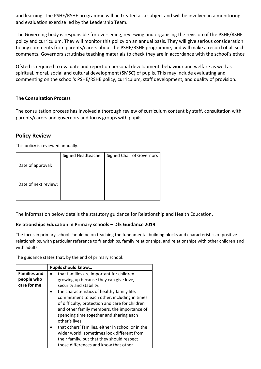and learning. The PSHE/RSHE programme will be treated as a subject and will be involved in a monitoring and evaluation exercise led by the Leadership Team.

The Governing body is responsible for overseeing, reviewing and organising the revision of the PSHE/RSHE policy and curriculum. They will monitor this policy on an annual basis. They will give serious consideration to any comments from parents/carers about the PSHE/RSHE programme, and will make a record of all such comments. Governors scrutinise teaching materials to check they are in accordance with the school's ethos

Ofsted is required to evaluate and report on personal development, behaviour and welfare as well as spiritual, moral, social and cultural development (SMSC) of pupils. This may include evaluating and commenting on the school's PSHE/RSHE policy, curriculum, staff development, and quality of provision.

#### **The Consultation Process**

The consultation process has involved a thorough review of curriculum content by staff, consultation with parents/carers and governors and focus groups with pupils.

## **Policy Review**

This policy is reviewed annually.

|                      | Signed Headteacher | <b>Signed Chair of Governors</b> |
|----------------------|--------------------|----------------------------------|
| Date of approval:    |                    |                                  |
| Date of next review: |                    |                                  |

The information below details the statutory guidance for Relationship and Health Education.

#### **Relationships Education in Primary schools – DfE Guidance 2019**

The focus in primary school should be on teaching the fundamental building blocks and characteristics of positive relationships, with particular reference to friendships, family relationships, and relationships with other children and with adults.

The guidance states that, by the end of primary school:

|                                                  | Pupils should know                                                                                                                                                                                                                                                                                                                                                                                                                                                                                                                                                                              |
|--------------------------------------------------|-------------------------------------------------------------------------------------------------------------------------------------------------------------------------------------------------------------------------------------------------------------------------------------------------------------------------------------------------------------------------------------------------------------------------------------------------------------------------------------------------------------------------------------------------------------------------------------------------|
| <b>Families and</b><br>people who<br>care for me | that families are important for children<br>$\bullet$<br>growing up because they can give love,<br>security and stability.<br>the characteristics of healthy family life,<br>$\bullet$<br>commitment to each other, including in times<br>of difficulty, protection and care for children<br>and other family members, the importance of<br>spending time together and sharing each<br>other's lives.<br>that others' families, either in school or in the<br>wider world, sometimes look different from<br>their family, but that they should respect<br>those differences and know that other |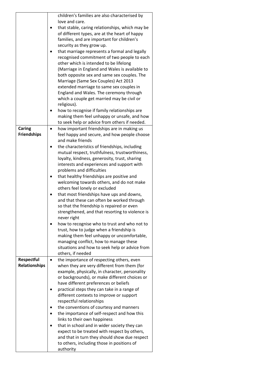|                      |   | children's families are also characterised by   |
|----------------------|---|-------------------------------------------------|
|                      |   | love and care.                                  |
|                      |   | that stable, caring relationships, which may be |
|                      |   | of different types, are at the heart of happy   |
|                      |   | families, and are important for children's      |
|                      |   | security as they grow up.                       |
|                      |   | that marriage represents a formal and legally   |
|                      |   | recognised commitment of two people to each     |
|                      |   | other which is intended to be lifelong          |
|                      |   | (Marriage in England and Wales is available to  |
|                      |   |                                                 |
|                      |   | both opposite sex and same sex couples. The     |
|                      |   | Marriage (Same Sex Couples) Act 2013            |
|                      |   | extended marriage to same sex couples in        |
|                      |   | England and Wales. The ceremony through         |
|                      |   | which a couple get married may be civil or      |
|                      |   | religious).                                     |
|                      |   | how to recognise if family relationships are    |
|                      |   | making them feel unhappy or unsafe, and how     |
|                      |   | to seek help or advice from others if needed.   |
| Caring               |   | how important friendships are in making us      |
| <b>Friendships</b>   |   | feel happy and secure, and how people choose    |
|                      |   | and make friends                                |
|                      |   | the characteristics of friendships, including   |
|                      |   | mutual respect, truthfulness, trustworthiness,  |
|                      |   | loyalty, kindness, generosity, trust, sharing   |
|                      |   |                                                 |
|                      |   | interests and experiences and support with      |
|                      |   | problems and difficulties                       |
|                      |   | that healthy friendships are positive and       |
|                      |   | welcoming towards others, and do not make       |
|                      |   | others feel lonely or excluded                  |
|                      |   | that most friendships have ups and downs,       |
|                      |   | and that these can often be worked through      |
|                      |   | so that the friendship is repaired or even      |
|                      |   | strengthened, and that resorting to violence is |
|                      |   | never right                                     |
|                      |   | how to recognise who to trust and who not to    |
|                      |   | trust, how to judge when a friendship is        |
|                      |   | making them feel unhappy or uncomfortable,      |
|                      |   | managing conflict, how to manage these          |
|                      |   | situations and how to seek help or advice from  |
|                      |   | others, if needed                               |
| Respectful           | ٠ | the importance of respecting others, even       |
| <b>Relationships</b> |   | when they are very different from them (for     |
|                      |   | example, physically, in character, personality  |
|                      |   | or backgrounds), or make different choices or   |
|                      |   | have different preferences or beliefs           |
|                      |   | practical steps they can take in a range of     |
|                      |   |                                                 |
|                      |   | different contexts to improve or support        |
|                      |   | respectful relationships                        |
|                      |   | the conventions of courtesy and manners         |
|                      |   | the importance of self-respect and how this     |
|                      |   | links to their own happiness                    |
|                      |   | that in school and in wider society they can    |
|                      |   | expect to be treated with respect by others,    |
|                      |   | and that in turn they should show due respect   |
|                      |   | to others, including those in positions of      |
|                      |   | authority                                       |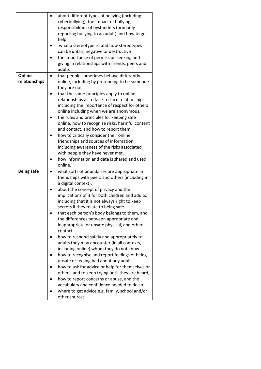|                   |           | about different types of bullying (including                     |
|-------------------|-----------|------------------------------------------------------------------|
|                   |           | cyberbullying), the impact of bullying,                          |
|                   |           | responsibilities of bystanders (primarily                        |
|                   |           | reporting bullying to an adult) and how to get                   |
|                   |           | help                                                             |
|                   |           | what a stereotype is, and how stereotypes                        |
|                   |           | can be unfair, negative or destructive                           |
|                   |           | the importance of permission seeking and                         |
|                   |           | giving in relationships with friends, peers and                  |
|                   |           | adults                                                           |
| Online            |           | that people sometimes behave differently                         |
| relationships     |           | online, including by pretending to be someone                    |
|                   |           | they are not                                                     |
|                   |           | that the same principles apply to online                         |
|                   |           | relationships as to face-to-face relationships,                  |
|                   |           | including the importance of respect for others                   |
|                   |           | online including when we are anonymous.                          |
|                   |           | the rules and principles for keeping safe                        |
|                   |           | online, how to recognise risks, harmful content                  |
|                   |           | and contact, and how to report them.                             |
|                   |           | how to critically consider their online                          |
|                   |           | friendships and sources of information                           |
|                   |           | including awareness of the risks associated                      |
|                   |           | with people they have never met.                                 |
|                   |           |                                                                  |
|                   |           |                                                                  |
|                   |           | how information and data is shared and used                      |
|                   |           | online.                                                          |
| <b>Being safe</b> | $\bullet$ | what sorts of boundaries are appropriate in                      |
|                   |           | friendships with peers and others (including in                  |
|                   |           | a digital context).                                              |
|                   |           | about the concept of privacy and the                             |
|                   |           | implications of it for both children and adults;                 |
|                   |           | including that it is not always right to keep                    |
|                   |           | secrets if they relate to being safe.                            |
|                   |           | that each person's body belongs to them, and                     |
|                   |           | the differences between appropriate and                          |
|                   |           | inappropriate or unsafe physical, and other,                     |
|                   |           | contact.                                                         |
|                   |           | how to respond safely and appropriately to                       |
|                   |           | adults they may encounter (in all contexts,                      |
|                   |           | including online) whom they do not know.                         |
|                   |           | how to recognise and report feelings of being                    |
|                   |           | unsafe or feeling bad about any adult.                           |
|                   |           | how to ask for advice or help for themselves or                  |
|                   |           | others, and to keep trying until they are heard,                 |
|                   |           | how to report concerns or abuse, and the                         |
|                   |           | vocabulary and confidence needed to do so.                       |
|                   |           | where to get advice e.g. family, school and/or<br>other sources. |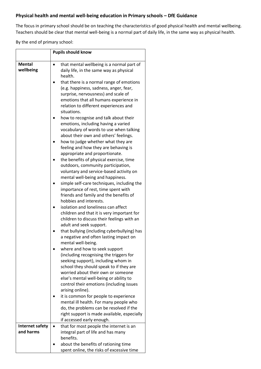# **Physical health and mental well-being education in Primary schools – DfE Guidance**

The focus in primary school should be on teaching the characteristics of good physical health and mental wellbeing. Teachers should be clear that mental well-being is a normal part of daily life, in the same way as physical health.

By the end of primary school:

|                            | <b>Pupils should know</b>                                                                                                                                                                                                                                                                                                        |  |
|----------------------------|----------------------------------------------------------------------------------------------------------------------------------------------------------------------------------------------------------------------------------------------------------------------------------------------------------------------------------|--|
| <b>Mental</b><br>wellbeing | that mental wellbeing is a normal part of<br>daily life, in the same way as physical<br>health.<br>that there is a normal range of emotions<br>(e.g. happiness, sadness, anger, fear,<br>surprise, nervousness) and scale of<br>emotions that all humans experience in<br>relation to different experiences and<br>situations.   |  |
|                            | how to recognise and talk about their<br>emotions, including having a varied<br>vocabulary of words to use when talking<br>about their own and others' feelings.<br>how to judge whether what they are                                                                                                                           |  |
|                            | feeling and how they are behaving is<br>appropriate and proportionate.<br>the benefits of physical exercise, time<br>outdoors, community participation,<br>voluntary and service-based activity on<br>mental well-being and happiness.                                                                                           |  |
|                            | simple self-care techniques, including the<br>importance of rest, time spent with<br>friends and family and the benefits of<br>hobbies and interests.<br>isolation and loneliness can affect                                                                                                                                     |  |
|                            | children and that it is very important for<br>children to discuss their feelings with an<br>adult and seek support.<br>that bullying (including cyberbullying) has<br>a negative and often lasting impact on                                                                                                                     |  |
|                            | mental well-being.<br>where and how to seek support<br>(including recognising the triggers for<br>seeking support), including whom in<br>school they should speak to if they are<br>worried about their own or someone<br>else's mental well-being or ability to<br>control their emotions (including issues<br>arising online). |  |
|                            | it is common for people to experience<br>mental ill health. For many people who<br>do, the problems can be resolved if the<br>right support is made available, especially<br>if accessed early enough.                                                                                                                           |  |
| Internet safety            | that for most people the internet is an                                                                                                                                                                                                                                                                                          |  |
| and harms                  | integral part of life and has many<br>benefits.                                                                                                                                                                                                                                                                                  |  |
|                            | about the benefits of rationing time<br>spent online, the risks of excessive time                                                                                                                                                                                                                                                |  |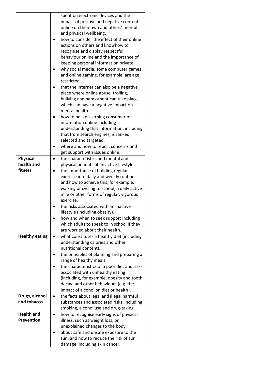|                               | spent on electronic devices and the                                                     |
|-------------------------------|-----------------------------------------------------------------------------------------|
|                               | impact of positive and negative content                                                 |
|                               | online on their own and others' mental                                                  |
|                               | and physical wellbeing.                                                                 |
|                               | how to consider the effect of their online                                              |
|                               | actions on others and knowhow to                                                        |
|                               | recognise and display respectful                                                        |
|                               | behaviour online and the importance of                                                  |
|                               | keeping personal information private.                                                   |
|                               | why social media, some computer games                                                   |
|                               | and online gaming, for example, are age                                                 |
|                               | restricted.                                                                             |
|                               | that the internet can also be a negative                                                |
|                               | place where online abuse, trolling,                                                     |
|                               | bullying and harassment can take place,                                                 |
|                               | which can have a negative impact on                                                     |
|                               | mental health.                                                                          |
|                               | how to be a discerning consumer of                                                      |
|                               | information online including                                                            |
|                               | understanding that information, including                                               |
|                               | that from search engines, is ranked,                                                    |
|                               | selected and targeted.                                                                  |
|                               | where and how to report concerns and                                                    |
|                               | get support with issues online.                                                         |
| <b>Physical</b>               | the characteristics and mental and                                                      |
| health and                    | physical benefits of an active lifestyle.                                               |
| fitness                       | the importance of building regular                                                      |
|                               | exercise into daily and weekly routines                                                 |
|                               | and how to achieve this; for example,                                                   |
|                               | walking or cycling to school, a daily active                                            |
|                               | mile or other forms of regular, vigorous                                                |
|                               | exercise.                                                                               |
|                               | the risks associated with an inactive                                                   |
|                               | lifestyle (including obesity).                                                          |
|                               | how and when to seek support including                                                  |
|                               | which adults to speak to in school if they                                              |
|                               | are worried about their health.                                                         |
| <b>Healthy eating</b>         | what constitutes a healthy diet (including                                              |
|                               | understanding calories and other                                                        |
|                               | nutritional content).                                                                   |
|                               | the principles of planning and preparing a                                              |
|                               | range of healthy meals.                                                                 |
|                               | the characteristics of a poor diet and risks                                            |
|                               | associated with unhealthy eating                                                        |
|                               | (including, for example, obesity and tooth                                              |
|                               | decay) and other behaviours (e.g. the<br>impact of alcohol on diet or health).          |
|                               |                                                                                         |
| Drugs, alcohol<br>and tobacco | the facts about legal and illegal harmful<br>substances and associated risks, including |
|                               | smoking, alcohol use and drug-taking                                                    |
| <b>Health and</b>             |                                                                                         |
| <b>Prevention</b>             | how to recognise early signs of physical<br>illness, such as weight loss, or            |
|                               | unexplained changes to the body.                                                        |
|                               | about safe and unsafe exposure to the                                                   |
|                               | sun, and how to reduce the risk of sun                                                  |
|                               | damage, including skin cancer.                                                          |
|                               |                                                                                         |